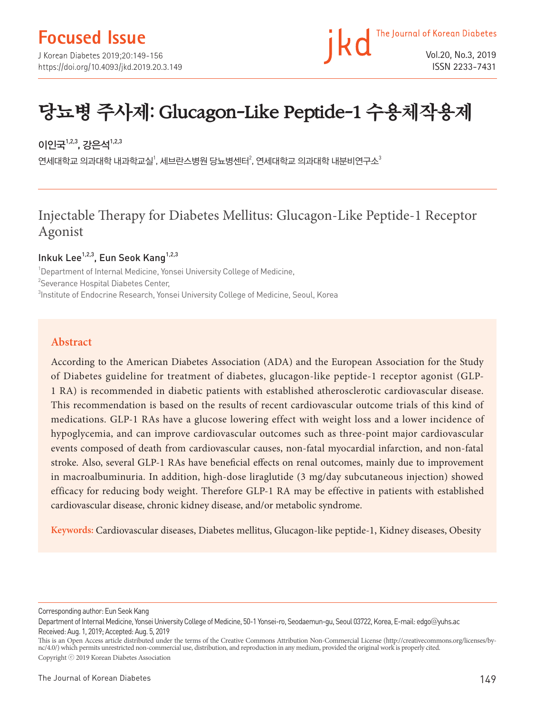## **Focused Issue**

J Korean Diabetes 2019;20:149-156 https://doi.org/10.4093/jkd.2019.20.3.149 The Journal of Korean Diabetes Vol.20, No.3, 2019 ISSN 2233-7431

# 당뇨병 주사제: Glucagon-Like Peptide-1 수용체작용제

## 이인국 $^{1,2,3}$ , 강은석 $^{1,2,3}$

연세대학교 의과대학 내과학교실 , 세브란스병원 당뇨병센터 $^2$ , 연세대학교 의과대학 내분비연구소 $^3$ 

## Injectable Therapy for Diabetes Mellitus: Glucagon-Like Peptide-1 Receptor Agonist

#### Inkuk Lee<sup>1,2,3</sup>, Eun Seok Kang<sup>1,2,3</sup>

<sup>1</sup>Department of Internal Medicine, Yonsei University College of Medicine, <sup>2</sup>Severance Hospital Diabetes Center,  $^3$ Institute of Endocrine Research, Yonsei University College of Medicine, Seoul, Korea

#### **Abstract**

According to the American Diabetes Association (ADA) and the European Association for the Study of Diabetes guideline for treatment of diabetes, glucagon-like peptide-1 receptor agonist (GLP-1 RA) is recommended in diabetic patients with established atherosclerotic cardiovascular disease. This recommendation is based on the results of recent cardiovascular outcome trials of this kind of medications. GLP-1 RAs have a glucose lowering effect with weight loss and a lower incidence of hypoglycemia, and can improve cardiovascular outcomes such as three-point major cardiovascular events composed of death from cardiovascular causes, non-fatal myocardial infarction, and non-fatal stroke. Also, several GLP-1 RAs have beneficial effects on renal outcomes, mainly due to improvement in macroalbuminuria. In addition, high-dose liraglutide (3 mg/day subcutaneous injection) showed efficacy for reducing body weight. Therefore GLP-1 RA may be effective in patients with established cardiovascular disease, chronic kidney disease, and/or metabolic syndrome.

**Keywords:** Cardiovascular diseases, Diabetes mellitus, Glucagon-like peptide-1, Kidney diseases, Obesity

Corresponding author: Eun Seok Kang

This is an Open Access article distributed under the terms of the Creative Commons Attribution Non-Commercial License (http://creativecommons.org/licenses/bync/4.0/) which permits unrestricted non-commercial use, distribution, and reproduction in any medium, provided the original work is properly cited. Copyright ⓒ 2019 Korean Diabetes Association

Department of Internal Medicine, Yonsei University College of Medicine, 50-1 Yonsei-ro, Seodaemun-gu, Seoul 03722, Korea, E-mail: edgo@yuhs.ac Received: Aug. 1, 2019; Accepted: Aug. 5, 2019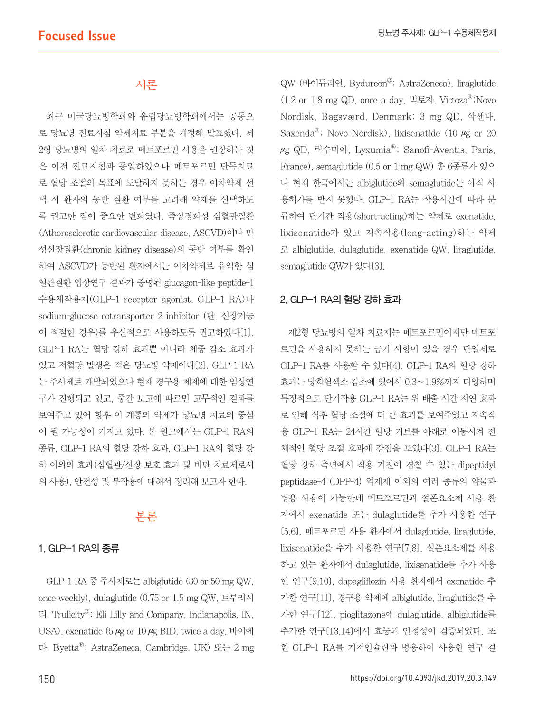## 서론

최근 미국당뇨병학회와 유럽당뇨병학회에서는 공동으 로 당뇨병 진료지침 약제치료 부분을 개정해 발표했다. 제 2형 당뇨병의 일차 치료로 메트포르민 사용을 권장하는 것 은 이전 진료지침과 동일하였으나 메트포르민 단독치료 로 혈당 조절의 목표에 도달하지 못하는 경우 이차약제 선 택 시 환자의 동반 질환 여부를 고려해 약제를 선택하도 록 권고한 점이 중요한 변화였다. 죽상경화성 심혈관질환 (Atherosclerotic cardiovascular disease, ASCVD)이나 만 성신장질환(chronic kidney disease)의 동반 여부를 확인 하여 ASCVD가 동반된 환자에서는 이차약제로 유익한 심 혈관질환 임상연구 결과가 증명된 glucagon-like peptide-1 수용체작용제(GLP-1 receptor agonist, GLP-1 RA)나 sodium-glucose cotransporter 2 inhibitor (단, 신장기능 이 적절한 경우)를 우선적으로 사용하도록 권고하였다[1]. GLP-1 RA는 혈당 강하 효과뿐 아니라 체중 감소 효과가 있고 저혈당 발생은 적은 당뇨병 약제이다[2]. GLP-1 RA 는 주사제로 개발되었으나 현재 경구용 제제에 대한 임상연 구가 진행되고 있고, 중간 보고에 따르면 고무적인 결과를 보여주고 있어 향후 이 계통의 약제가 당뇨병 치료의 중심 이 될 가능성이 커지고 있다. 본 원고에서는 GLP-1 RA의 종류, GLP-1 RA의 혈당 강하 효과, GLP-1 RA의 혈당 강 하 이외의 효과(심혈관/신장 보호 효과 및 비만 치료제로서 의 사용), 안전성 및 부작용에 대해서 정리해 보고자 한다.

#### 본론

#### 1. GLP-1 RA의 종류

GLP-1 RA 중 주사제로는 albiglutide (30 or 50 mg QW, once weekly), dulaglutide (0.75 or 1.5 mg QW, 트루리시 티, TrulicityⓇ; Eli Lilly and Company, Indianapolis, IN, USA), exenatide ( $5 \mu$ g or  $10 \mu$ g BID, twice a day, 바이에 타, ByettaⓇ; AstraZeneca, Cambridge, UK) 또는 2 mg

QW (바이듀리언, BydureonⓇ; AstraZeneca), liraglutide  $(1.2 \text{ or } 1.8 \text{ mg QD})$ , once a day, 빅토자, Victoza<sup>®</sup>;Novo Nordisk, Bagsværd, Denmark; 3 mg QD, 삭센다, Saxenda<sup>®</sup>; Novo Nordisk), lixisenatide (10  $\mu$ g or 20  $\mu$ g QD, 릭수미아, Lyxumia®; Sanofi-Aventis, Paris, France), semaglutide (0.5 or 1 mg QW) 총 6종류가 있으 나 현재 한국에서는 albiglutide와 semaglutide는 아직 사 용허가를 받지 못했다. GLP-1 RA는 작용시간에 따라 분 류하여 단기간 작용(short-acting)하는 약제로 exenatide, lixisenatide가 있고 지속작용(long-acting)하는 약제 로 albiglutide, dulaglutide, exenatide QW, liraglutide, semaglutide QW가 있다[3].

#### 2. GLP-1 RA의 혈당 강하 효과

제2형 당뇨병의 일차 치료제는 메트포르민이지만 메트포 르민을 사용하지 못하는 금기 사항이 있을 경우 단일제로 GLP-1 RA를 사용할 수 있다[4]. GLP-1 RA의 혈당 강하 효과는 당화혈색소 감소에 있어서 0.3~1.9%까지 다양하며 특징적으로 단기작용 GLP-1 RA는 위 배출 시간 지연 효과 로 인해 식후 혈당 조절에 더 큰 효과를 보여주었고 지속작 용 GLP-1 RA는 24시간 혈당 커브를 아래로 이동시켜 전 체적인 혈당 조절 효과에 강점을 보였다[3]. GLP-1 RA는 혈당 강하 측면에서 작용 기전이 겹칠 수 있는 dipeptidyl peptidase-4 (DPP-4) 억제제 이외의 여러 종류의 약물과 병용 사용이 가능한데 메트포르민과 설폰요소제 사용 환 자에서 exenatide 또는 dulaglutide를 추가 사용한 연구 [5,6], 메트포르민 사용 환자에서 dulaglutide, liraglutide, lixisenatide을 추가 사용한 연구[7,8], 설폰요소제를 사용 하고 있는 환자에서 dulaglutide, lixisenatide를 추가 사용 한 연구[9,10], dapagliflozin 사용 환자에서 exenatide 추 가한 연구[11], 경구용 약제에 albiglutide, liraglutide를 추 가한 연구[12], pioglitazone에 dulaglutide, albiglutide를 추가한 연구[13,14]에서 효능과 안정성이 검증되었다. 또 한 GLP-1 RA를 기저인슐린과 병용하여 사용한 연구 결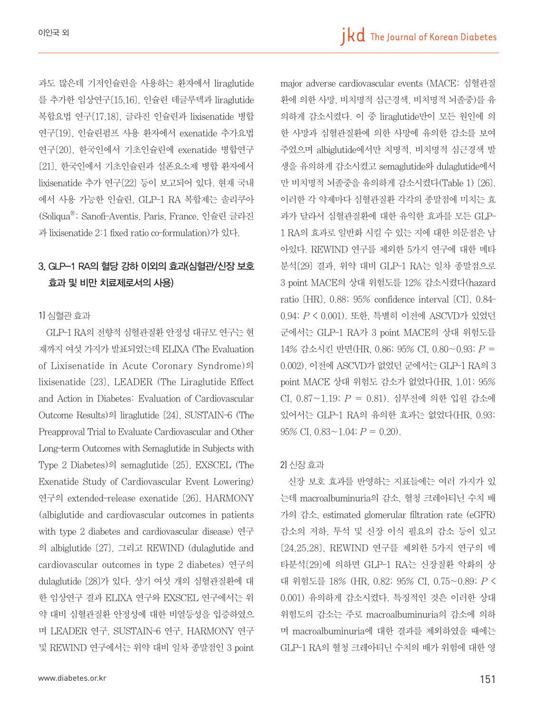과도 많은데 기저인슐린을 사용하는 환자에서 liraglutide 를 추가한 임상연구[15,16], 인슐린 데글루덱과 liraglutide 복합요법 연구[17,18], 글라진 인슐린과 lixisenatide 병합 연구[19], 인슐린펌프 사용 환자에서 exenatide 추가요법 연구[20], 한국인에서 기초인슐린에 exenatide 병합연구 [21], 한국인에서 기초인슐린과 설폰요소제 병합 환자에서 lixisenatide 추가 연구[22] 등이 보고되어 있다. 현재 국내 에서 사용 가능한 인슐린, GLP-1 RA 복합제는 솔리쿠아 (SoliquaⓇ; Sanofi-Aventis, Paris, France, 인슐린 글라진 과 lixisenatide 2:1 fixed ratio co-formulation)가 있다.

### 3. GLP-1 RA의 혈당 강하 이외의 효과(심혈관/신장 보호 효과 및 비만 치료제로서의 사용)

#### 1) 심혈관 효과

GLP-1 RA의 전향적 심혈관질환 안정성 대규모 연구는 현 재까지 여섯 가지가 발표되었는데 ELIXA (The Evaluation of Lixisenatide in Acute Coronary Syndrome)의 lixisenatide [23], LEADER (The Liraglutide Effect and Action in Diabetes: Evaluation of Cardiovascular Outcome Results)의 liraglutide [24], SUSTAIN-6 (The Preapproval Trial to Evaluate Cardiovascular and Other Long-term Outcomes with Semaglutide in Subjects with Type 2 Diabetes)의 semaglutide [25], EXSCEL (The Exenatide Study of Cardiovascular Event Lowering) 연구의 extended-release exenatide [26], HARMONY (albiglutide and cardiovascular outcomes in patients with type 2 diabetes and cardiovascular disease) 연구 의 albiglutide [27], 그리고 REWIND (dulaglutide and cardiovascular outcomes in type 2 diabetes) 연구의 dulaglutide [28]가 있다. 상기 여섯 개의 심혈관질환에 대 한 임상연구 결과 ELIXA 연구와 EXSCEL 연구에서는 위 약 대비 심혈관질환 안정성에 대한 비열등성을 입증하였으 며 LEADER 연구, SUSTAIN-6 연구, HARMONY 연구 및 REWIND 연구에서는 위약 대비 일차 종말점인 3 point

major adverse cardiovascular events (MACE; 심혈관질 환에 의한 사망, 비치명적 심근경색, 비치명적 뇌졸중)를 유 의하게 감소시켰다. 이 중 liraglutide만이 모든 원인에 의 한 사망과 심혈관질환에 의한 사망에 유의한 감소를 보여 주었으며 albiglutide에서만 치명적, 비치명적 심근경색 발 생을 유의하게 감소시켰고 semaglutide와 dulaglutide에서 만 비치명적 뇌졸중을 유의하게 감소시켰다(Table 1) [26]. 이러한 각 약제마다 심혈관질환 각각의 종말점에 미치는 효 과가 달라서 심혈관질환에 대한 유익한 효과를 모든 GLP-1 RA의 효과로 일반화 시킬 수 있는 지에 대한 의문점은 남 아있다. REWIND 연구를 제외한 5가지 연구에 대한 메타 분석[29] 결과, 위약 대비 GLP-1 RA는 일차 종말점으로 3 point MACE의 상대 위험도를 12% 감소시켰다(hazard ratio [HR], 0.88; 95% confidence interval [CI], 0.84- 0.94; P < 0.001). 또한, 특별히 이전에 ASCVD가 있었던 군에서는 GLP-1 RA가 3 point MACE의 상대 위험도를 14% 감소시킨 반면(HR, 0.86; 95% CI, 0.80~0.93; P = 0.002), 이전에 ASCVD가 없었던 군에서는 GLP-1 RA의 3 point MACE 상대 위험도 감소가 없었다(HR, 1.01; 95% CI, 0.87~1.19; P = 0.81). 심부전에 의한 입원 감소에 있어서는 GLP-1 RA의 유의한 효과는 없었다(HR, 0.93; 95% CI,  $0.83 \sim 1.04$ ;  $P = 0.20$ ).

#### 2) 신장 효과

신장 보호 효과를 반영하는 지표들에는 여러 가지가 있 는데 macroalbuminuria의 감소, 혈청 크레아티닌 수치 배 가의 감소, estimated glomerular filtration rate (eGFR) 감소의 저하, 투석 및 신장 이식 필요의 감소 등이 있고 [24,25,28], REWIND 연구를 제외한 5가지 연구의 메 타분석[29]에 의하면 GLP-1 RA는 신장질환 악화의 상 대 위험도를 18% (HR, 0.82; 95% CI, 0.75~0.89; P < 0.001) 유의하게 감소시켰다. 특징적인 것은 이러한 상대 위험도의 감소는 주로 macroalbuminuria의 감소에 의하 며 macroalbuminuria에 대한 결과를 제외하였을 때에는 GLP-1 RA의 혈청 크레아티닌 수치의 배가 위험에 대한 영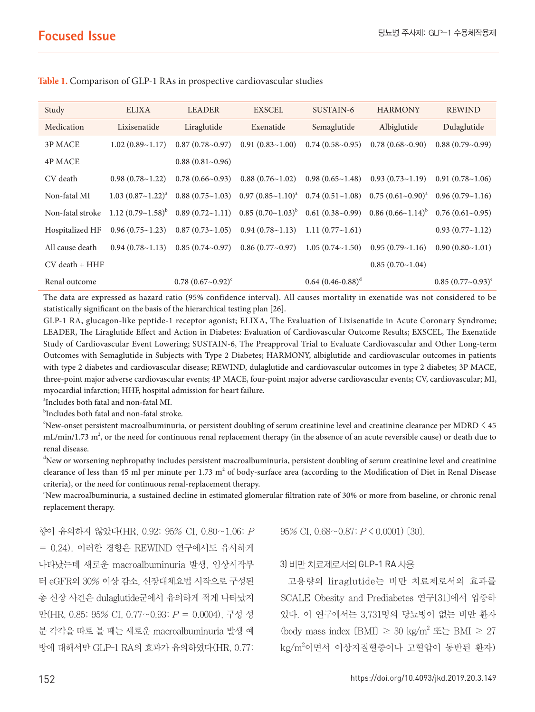| Study              | <b>ELIXA</b>             | <b>LEADER</b>               | <b>EXSCEL</b>                                                                                                                                                           | SUSTAIN-6                | <b>HARMONY</b>                                                                              | <b>REWIND</b>             |
|--------------------|--------------------------|-----------------------------|-------------------------------------------------------------------------------------------------------------------------------------------------------------------------|--------------------------|---------------------------------------------------------------------------------------------|---------------------------|
| Medication         | Lixisenatide             | Liraglutide                 | Exenatide                                                                                                                                                               | Semaglutide              | Albiglutide                                                                                 | Dulaglutide               |
| 3P MACE            | 1.02(0.89~1.17)          | $0.87(0.78\text{-}0.97)$    | 0.91(0.83~1.00)                                                                                                                                                         | 0.74(0.58~0.95)          | 0.78(0.68~0.90)                                                                             | $0.88(0.79-0.99)$         |
| <b>4P MACE</b>     |                          | $0.88(0.81-0.96)$           |                                                                                                                                                                         |                          |                                                                                             |                           |
| CV death           | $0.98(0.78-1.22)$        | 0.78(0.66~0.93)             |                                                                                                                                                                         |                          | $0.88(0.76 \sim 1.02)$ $0.98(0.65 \sim 1.48)$ $0.93(0.73 \sim 1.19)$ $0.91(0.78 \sim 1.06)$ |                           |
| Non-fatal MI       | $1.03~(0.87~1.22)^{a}$   |                             | $0.88 (0.75 \times 1.03)$ $0.97 (0.85 \times 1.10)^a$ $0.74 (0.51 \times 1.08)$ $0.75 (0.61 \times 0.90)^a$ $0.96 (0.79 \times 1.16)$                                   |                          |                                                                                             |                           |
| Non-fatal stroke   |                          |                             | $1.12 (0.79 \times 1.58)^{b}$ 0.89 $(0.72 \times 1.11)$ 0.85 $(0.70 \times 1.03)^{b}$ 0.61 $(0.38 \times 0.99)$ 0.86 $(0.66 \times 1.14)^{b}$ 0.76 $(0.61 \times 0.95)$ |                          |                                                                                             |                           |
| Hospitalized HF    | $0.96(0.75\text{-}1.23)$ |                             | $0.87(0.73 \times 1.05)$ $0.94(0.78 \times 1.13)$ 1.11 $(0.77 \times 1.61)$                                                                                             |                          |                                                                                             | 0.93(0.77~1.12)           |
| All cause death    | $0.94(0.78 \sim 1.13)$   | $0.85(0.74\text{-}0.97)$    | $0.86(0.77-0.97)$ 1.05 $(0.74-1.50)$                                                                                                                                    |                          | $0.95(0.79-1.16)$                                                                           | 0.90(0.80~1.01)           |
| $CV$ death $+ HHF$ |                          |                             |                                                                                                                                                                         |                          | $0.85(0.70-1.04)$                                                                           |                           |
| Renal outcome      |                          | $0.78$ $(0.67 \sim 0.92)^c$ |                                                                                                                                                                         | $0.64$ $(0.46 - 0.88)^d$ |                                                                                             | $0.85 (0.77 \sim 0.93)^e$ |

**Table 1.** Comparison of GLP-1 RAs in prospective cardiovascular studies

The data are expressed as hazard ratio (95% confidence interval). All causes mortality in exenatide was not considered to be statistically significant on the basis of the hierarchical testing plan [26].

GLP-1 RA, glucagon-like peptide-1 receptor agonist; ELIXA, The Evaluation of Lixisenatide in Acute Coronary Syndrome; LEADER, The Liraglutide Effect and Action in Diabetes: Evaluation of Cardiovascular Outcome Results; EXSCEL, The Exenatide Study of Cardiovascular Event Lowering; SUSTAIN-6, The Preapproval Trial to Evaluate Cardiovascular and Other Long-term Outcomes with Semaglutide in Subjects with Type 2 Diabetes; HARMONY, albiglutide and cardiovascular outcomes in patients with type 2 diabetes and cardiovascular disease; REWIND, dulaglutide and cardiovascular outcomes in type 2 diabetes; 3P MACE, three-point major adverse cardiovascular events; 4P MACE, four-point major adverse cardiovascular events; CV, cardiovascular; MI, myocardial infarction; HHF, hospital admission for heart failure.

a Includes both fatal and non-fatal MI.

b Includes both fatal and non-fatal stroke.

c New-onset persistent macroalbuminuria, or persistent doubling of serum creatinine level and creatinine clearance per MDRD < 45 mL/min/1.73  $m^2$ , or the need for continuous renal replacement therapy (in the absence of an acute reversible cause) or death due to renal disease.

<sup>d</sup>New or worsening nephropathy includes persistent macroalbuminuria, persistent doubling of serum creatinine level and creatinine clearance of less than 45 ml per minute per 1.73  $m^2$  of body-surface area (according to the Modification of Diet in Renal Disease criteria), or the need for continuous renal-replacement therapy.

e New macroalbuminuria, a sustained decline in estimated glomerular filtration rate of 30% or more from baseline, or chronic renal replacement therapy.

향이 유의하지 않았다(HR, 0.92; 95% CI, 0.80~1.06; P = 0.24). 이러한 경향은 REWIND 연구에서도 유사하게 나타났는데 새로운 macroalbuminuria 발생, 임상시작부 터 eGFR의 30% 이상 감소, 신장대체요법 시작으로 구성된 총 신장 사건은 dulaglutide군에서 유의하게 적게 나타났지 만(HR, 0.85; 95% CI, 0.77~0.93; P = 0.0004), 구성 성 분 각각을 따로 볼 때는 새로운 macroalbuminuria 발생 예 방에 대해서만 GLP-1 RA의 효과가 유의하였다(HR, 0.77;

 $95\%$  CI,  $0.68 \sim 0.87$ ;  $P \le 0.0001$ ) [30].

#### 3) 비만 치료제로서의 GLP-1 RA 사용

고용량의 liraglutide는 비만 치료제로서의 효과를 SCALE Obesity and Prediabetes 연구[31]에서 입증하 였다. 이 연구에서는 3,731명의 당뇨병이 없는 비만 환자 (body mass index  $(BMI) \geq 30 \text{ kg/m}^2$  또는 BMI  $\geq 27$ kg/m<sup>2</sup>이면서 이상지질혈증이나 고혈압이 동반된 환자)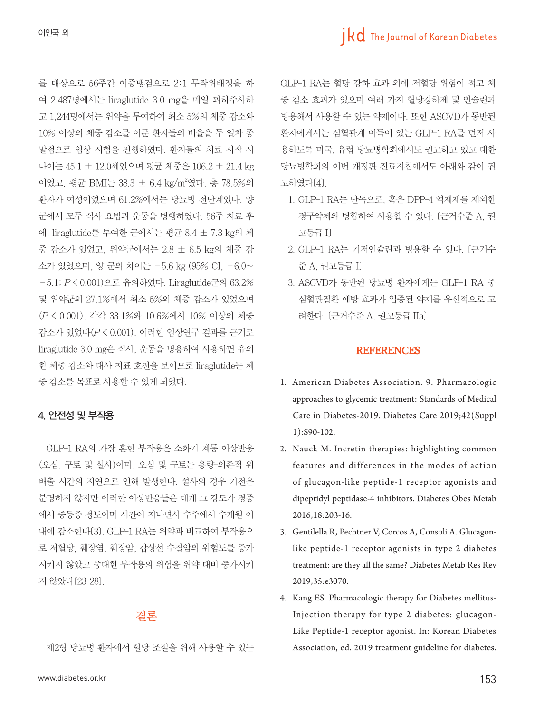를 대상으로 56주간 이중맹검으로 2:1 무작위배정을 하 여 2,487명에서는 liraglutide 3.0 mg을 매일 피하주사하 고 1,244명에서는 위약을 투여하여 최소 5%의 체중 감소와 10% 이상의 체중 감소를 이룬 환자들의 비율을 두 일차 종 말점으로 임상 시험을 진행하였다. 환자들의 치료 시작 시 나이는 45.1 ± 12.0세였으며 평균 체중은 106.2 ± 21.4 kg 이었고, 평균 BMI는 38.3 ± 6.4 kg/m<sup>2</sup>였다. 총 78.5%의 환자가 여성이었으며 61.2%에서는 당뇨병 전단계였다. 양 군에서 모두 식사 요법과 운동을 병행하였다. 56주 치료 후 에, liraglutide를 투여한 군에서는 평균 8.4 ± 7.3 kg의 체 중 감소가 있었고, 위약군에서는 2.8 ± 6.5 kg의 체중 감 소가 있었으며, 양 군의 차이는 –5.6 kg (95% CI, –6.0~ –5.1; P < 0.001)으로 유의하였다. Liraglutide군의 63.2% 및 위약군의 27.1%에서 최소 5%의 체중 감소가 있었으며 (P < 0.001), 각각 33.1%와 10.6%에서 10% 이상의 체중 감소가 있었다(P < 0.001). 이러한 임상연구 결과를 근거로 liraglutide 3.0 mg은 식사, 운동을 병용하여 사용하면 유의 한 체중 감소와 대사 지표 호전을 보이므로 liraglutide는 체 중 감소를 목표로 사용할 수 있게 되었다.

#### 4. 안전성 및 부작용

GLP-1 RA의 가장 흔한 부작용은 소화기 계통 이상반응 (오심, 구토 및 설사)이며, 오심 및 구토는 용량-의존적 위 배출 시간의 지연으로 인해 발생한다. 설사의 경우 기전은 분명하지 않지만 이러한 이상반응들은 대개 그 강도가 경증 에서 중등증 정도이며 시간이 지나면서 수주에서 수개월 이 내에 감소한다[3]. GLP-1 RA는 위약과 비교하여 부작용으 로 저혈당, 췌장염, 췌장암, 갑상선 수질암의 위험도를 증가 시키지 않았고 중대한 부작용의 위험을 위약 대비 증가시키 지 않았다[23-28].

#### 결론

제2형 당뇨병 환자에서 혈당 조절을 위해 사용할 수 있는

www.diabetes.or.kr 153

GLP-1 RA는 혈당 강하 효과 외에 저혈당 위험이 적고 체 중 감소 효과가 있으며 여러 가지 혈당강하제 및 인슐린과 병용해서 사용할 수 있는 약제이다. 또한 ASCVD가 동반된 환자에게서는 심혈관계 이득이 있는 GLP-1 RA를 먼저 사 용하도록 미국, 유럽 당뇨병학회에서도 권고하고 있고 대한 당뇨병학회의 이번 개정판 진료지침에서도 아래와 같이 권 고하였다[4].

- 1. GLP-1 RA는 단독으로, 혹은 DPP-4 억제제를 제외한 경구약제와 병합하여 사용할 수 있다. [근거수준 A, 권 고등급 I]
- 2. GLP-1 RA는 기저인슐린과 병용할 수 있다. [근거수 준 A, 권고등급 I]
- 3. ASCVD가 동반된 당뇨병 환자에게는 GLP-1 RA 중 심혈관질환 예방 효과가 입증된 약제를 우선적으로 고 려한다. [근거수준 A, 권고등급 IIa]

#### **REFERENCES**

- 1. American Diabetes Association. 9. Pharmacologic approaches to glycemic treatment: Standards of Medical Care in Diabetes-2019. Diabetes Care 2019;42(Suppl 1):S90-102.
- 2. Nauck M. Incretin therapies: highlighting common features and differences in the modes of action of glucagon-like peptide-1 receptor agonists and dipeptidyl peptidase-4 inhibitors. Diabetes Obes Metab 2016;18:203-16.
- 3. Gentilella R, Pechtner V, Corcos A, Consoli A. Glucagonlike peptide-1 receptor agonists in type 2 diabetes treatment: are they all the same? Diabetes Metab Res Rev 2019;35:e3070.
- 4. Kang ES. Pharmacologic therapy for Diabetes mellitus-Injection therapy for type 2 diabetes: glucagon-Like Peptide-1 receptor agonist. In: Korean Diabetes Association, ed. 2019 treatment guideline for diabetes.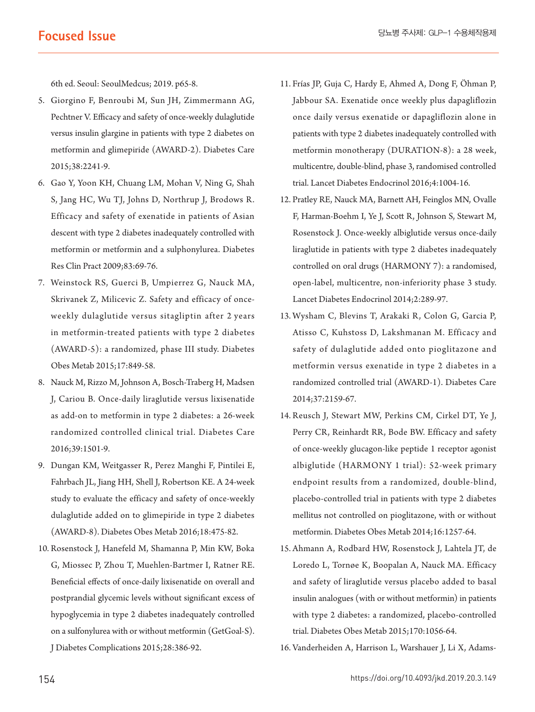6th ed. Seoul: SeoulMedcus; 2019. p65-8.

- 5. Giorgino F, Benroubi M, Sun JH, Zimmermann AG, Pechtner V. Efficacy and safety of once-weekly dulaglutide versus insulin glargine in patients with type 2 diabetes on metformin and glimepiride (AWARD-2). Diabetes Care 2015;38:2241-9.
- 6. Gao Y, Yoon KH, Chuang LM, Mohan V, Ning G, Shah S, Jang HC, Wu TJ, Johns D, Northrup J, Brodows R. Efficacy and safety of exenatide in patients of Asian descent with type 2 diabetes inadequately controlled with metformin or metformin and a sulphonylurea. Diabetes Res Clin Pract 2009;83:69-76.
- 7. Weinstock RS, Guerci B, Umpierrez G, Nauck MA, Skrivanek Z, Milicevic Z. Safety and efficacy of onceweekly dulaglutide versus sitagliptin after 2 years in metformin-treated patients with type 2 diabetes (AWARD-5): a randomized, phase III study. Diabetes Obes Metab 2015;17:849-58.
- 8. Nauck M, Rizzo M, Johnson A, Bosch-Traberg H, Madsen J, Cariou B. Once-daily liraglutide versus lixisenatide as add-on to metformin in type 2 diabetes: a 26-week randomized controlled clinical trial. Diabetes Care 2016;39:1501-9.
- 9. Dungan KM, Weitgasser R, Perez Manghi F, Pintilei E, Fahrbach JL, Jiang HH, Shell J, Robertson KE. A 24-week study to evaluate the efficacy and safety of once-weekly dulaglutide added on to glimepiride in type 2 diabetes (AWARD-8). Diabetes Obes Metab 2016;18:475-82.
- 10. Rosenstock J, Hanefeld M, Shamanna P, Min KW, Boka G, Miossec P, Zhou T, Muehlen-Bartmer I, Ratner RE. Beneficial effects of once-daily lixisenatide on overall and postprandial glycemic levels without significant excess of hypoglycemia in type 2 diabetes inadequately controlled on a sulfonylurea with or without metformin (GetGoal-S).

J Diabetes Complications 2015;28:386-92.

- 11. Frías JP, Guja C, Hardy E, Ahmed A, Dong F, Öhman P, Jabbour SA. Exenatide once weekly plus dapagliflozin once daily versus exenatide or dapagliflozin alone in patients with type 2 diabetes inadequately controlled with metformin monotherapy (DURATION-8): a 28 week, multicentre, double-blind, phase 3, randomised controlled trial. Lancet Diabetes Endocrinol 2016;4:1004-16.
- 12. Pratley RE, Nauck MA, Barnett AH, Feinglos MN, Ovalle F, Harman-Boehm I, Ye J, Scott R, Johnson S, Stewart M, Rosenstock J. Once-weekly albiglutide versus once-daily liraglutide in patients with type 2 diabetes inadequately controlled on oral drugs (HARMONY 7): a randomised, open-label, multicentre, non-inferiority phase 3 study. Lancet Diabetes Endocrinol 2014;2:289-97.
- 13. Wysham C, Blevins T, Arakaki R, Colon G, Garcia P, Atisso C, Kuhstoss D, Lakshmanan M. Efficacy and safety of dulaglutide added onto pioglitazone and metformin versus exenatide in type 2 diabetes in a randomized controlled trial (AWARD-1). Diabetes Care 2014;37:2159-67.
- 14. Reusch J, Stewart MW, Perkins CM, Cirkel DT, Ye J, Perry CR, Reinhardt RR, Bode BW. Efficacy and safety of once-weekly glucagon-like peptide 1 receptor agonist albiglutide (HARMONY 1 trial): 52-week primary endpoint results from a randomized, double-blind, placebo-controlled trial in patients with type 2 diabetes mellitus not controlled on pioglitazone, with or without metformin. Diabetes Obes Metab 2014;16:1257-64.
- 15. Ahmann A, Rodbard HW, Rosenstock J, Lahtela JT, de Loredo L, Tornøe K, Boopalan A, Nauck MA. Efficacy and safety of liraglutide versus placebo added to basal insulin analogues (with or without metformin) in patients with type 2 diabetes: a randomized, placebo-controlled trial. Diabetes Obes Metab 2015;170:1056-64.
- 16. Vanderheiden A, Harrison L, Warshauer J, Li X, Adams-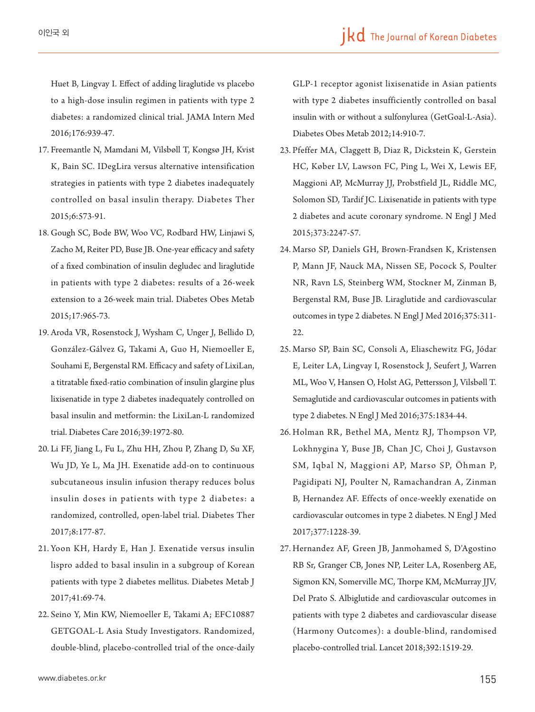Huet B, Lingvay I. Effect of adding liraglutide vs placebo to a high-dose insulin regimen in patients with type 2 diabetes: a randomized clinical trial. JAMA Intern Med 2016;176:939-47.

- 17. Freemantle N, Mamdani M, Vilsbøll T, Kongsø JH, Kvist K, Bain SC. IDegLira versus alternative intensification strategies in patients with type 2 diabetes inadequately controlled on basal insulin therapy. Diabetes Ther 2015;6:573-91.
- 18. Gough SC, Bode BW, Woo VC, Rodbard HW, Linjawi S, Zacho M, Reiter PD, Buse JB. One-year efficacy and safety of a fixed combination of insulin degludec and liraglutide in patients with type 2 diabetes: results of a 26-week extension to a 26-week main trial. Diabetes Obes Metab 2015;17:965-73.
- 19. Aroda VR, Rosenstock J, Wysham C, Unger J, Bellido D, González-Gálvez G, Takami A, Guo H, Niemoeller E, Souhami E, Bergenstal RM. Efficacy and safety of LixiLan, a titratable fixed-ratio combination of insulin glargine plus lixisenatide in type 2 diabetes inadequately controlled on basal insulin and metformin: the LixiLan-L randomized trial. Diabetes Care 2016;39:1972-80.
- 20. Li FF, Jiang L, Fu L, Zhu HH, Zhou P, Zhang D, Su XF, Wu JD, Ye L, Ma JH. Exenatide add-on to continuous subcutaneous insulin infusion therapy reduces bolus insulin doses in patients with type 2 diabetes: a randomized, controlled, open-label trial. Diabetes Ther 2017;8:177-87.
- 21. Yoon KH, Hardy E, Han J. Exenatide versus insulin lispro added to basal insulin in a subgroup of Korean patients with type 2 diabetes mellitus. Diabetes Metab J 2017;41:69-74.
- 22. Seino Y, Min KW, Niemoeller E, Takami A; EFC10887 GETGOAL-L Asia Study Investigators. Randomized, double-blind, placebo-controlled trial of the once-daily

GLP-1 receptor agonist lixisenatide in Asian patients with type 2 diabetes insufficiently controlled on basal insulin with or without a sulfonylurea (GetGoal-L-Asia). Diabetes Obes Metab 2012;14:910-7.

- 23. Pfeffer MA, Claggett B, Diaz R, Dickstein K, Gerstein HC, Køber LV, Lawson FC, Ping L, Wei X, Lewis EF, Maggioni AP, McMurray JJ, Probstfield JL, Riddle MC, Solomon SD, Tardif JC. Lixisenatide in patients with type 2 diabetes and acute coronary syndrome. N Engl J Med 2015;373:2247-57.
- 24. Marso SP, Daniels GH, Brown-Frandsen K, Kristensen P, Mann JF, Nauck MA, Nissen SE, Pocock S, Poulter NR, Ravn LS, Steinberg WM, Stockner M, Zinman B, Bergenstal RM, Buse JB. Liraglutide and cardiovascular outcomes in type 2 diabetes. N Engl J Med 2016;375:311- 22.
- 25. Marso SP, Bain SC, Consoli A, Eliaschewitz FG, Jódar E, Leiter LA, Lingvay I, Rosenstock J, Seufert J, Warren ML, Woo V, Hansen O, Holst AG, Pettersson J, Vilsbøll T. Semaglutide and cardiovascular outcomes in patients with type 2 diabetes. N Engl J Med 2016;375:1834-44.
- 26. Holman RR , Bethel MA, Mentz RJ, Thompson VP, Lokhnygina Y, Buse JB, Chan JC, Choi J, Gustavson SM, Iqbal N, Maggioni AP, Marso SP, Öhman P, Pagidipati NJ, Poulter N, Ramachandran A, Zinman B, Hernandez AF. Effects of once-weekly exenatide on cardiovascular outcomes in type 2 diabetes. N Engl J Med 2017;377:1228-39.
- 27. Hernandez AF, Green JB, Janmohamed S, D'Agostino RB Sr, Granger CB, Jones NP, Leiter LA, Rosenberg AE, Sigmon KN, Somerville MC, Thorpe KM, McMurray JJV, Del Prato S. Albiglutide and cardiovascular outcomes in patients with type 2 diabetes and cardiovascular disease (Harmony Outcomes): a double-blind, randomised placebo-controlled trial. Lancet 2018;392:1519-29.